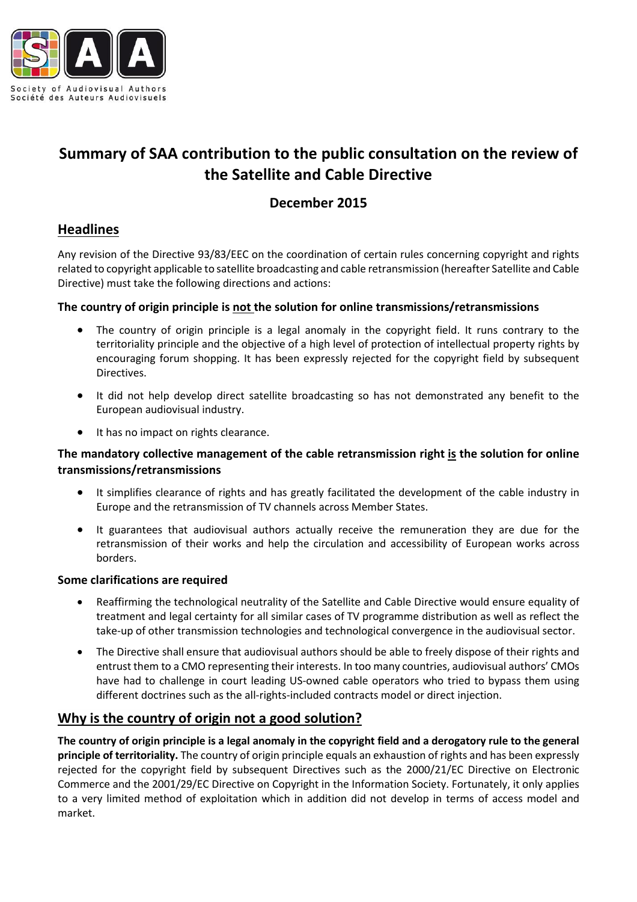

# **Summary of SAA contribution to the public consultation on the review of the Satellite and Cable Directive**

## **December 2015**

## **Headlines**

Any revision of the Directive 93/83/EEC on the coordination of certain rules concerning copyright and rights related to copyright applicable to satellite broadcasting and cable retransmission (hereafter Satellite and Cable Directive) must take the following directions and actions:

#### **The country of origin principle is not the solution for online transmissions/retransmissions**

- The country of origin principle is a legal anomaly in the copyright field. It runs contrary to the territoriality principle and the objective of a high level of protection of intellectual property rights by encouraging forum shopping. It has been expressly rejected for the copyright field by subsequent Directives.
- It did not help develop direct satellite broadcasting so has not demonstrated any benefit to the European audiovisual industry.
- It has no impact on rights clearance.

#### **The mandatory collective management of the cable retransmission right is the solution for online transmissions/retransmissions**

- It simplifies clearance of rights and has greatly facilitated the development of the cable industry in Europe and the retransmission of TV channels across Member States.
- It guarantees that audiovisual authors actually receive the remuneration they are due for the retransmission of their works and help the circulation and accessibility of European works across borders.

#### **Some clarifications are required**

- Reaffirming the technological neutrality of the Satellite and Cable Directive would ensure equality of treatment and legal certainty for all similar cases of TV programme distribution as well as reflect the take-up of other transmission technologies and technological convergence in the audiovisual sector.
- The Directive shall ensure that audiovisual authors should be able to freely dispose of their rights and entrust them to a CMO representing their interests. In too many countries, audiovisual authors' CMOs have had to challenge in court leading US-owned cable operators who tried to bypass them using different doctrines such as the all-rights-included contracts model or direct injection.

# **Why is the country of origin not a good solution?**

The country of origin principle is a legal anomaly in the copyright field and a derogatory rule to the general **principle of territoriality.** The country of origin principle equals an exhaustion of rights and has been expressly rejected for the copyright field by subsequent Directives such as the 2000/21/EC Directive on Electronic Commerce and the 2001/29/EC Directive on Copyright in the Information Society. Fortunately, it only applies to a very limited method of exploitation which in addition did not develop in terms of access model and market.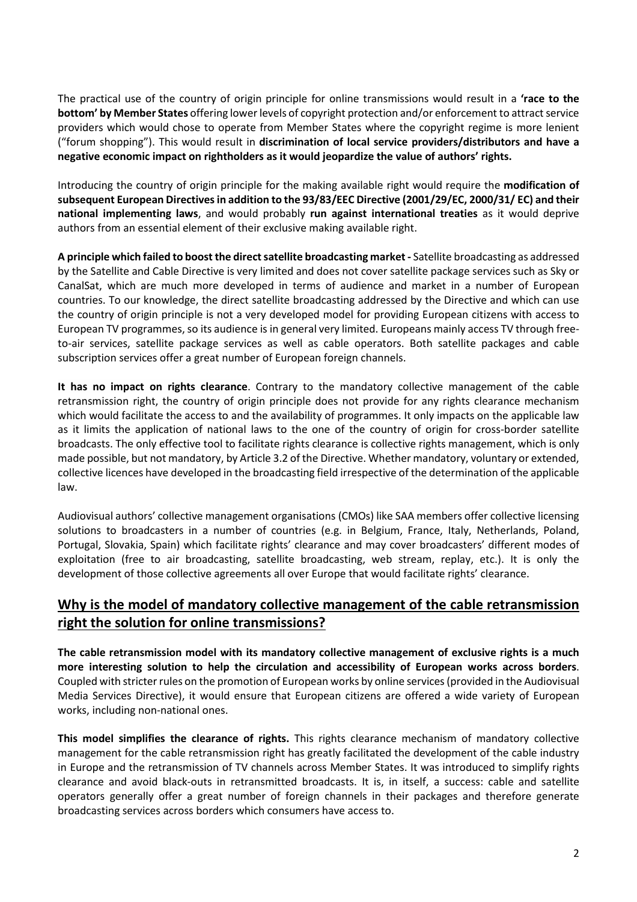The practical use of the country of origin principle for online transmissions would result in a **'race to the bottom' by Member States** offering lower levels of copyright protection and/or enforcement to attract service providers which would chose to operate from Member States where the copyright regime is more lenient ("forum shopping"). This would result in **discrimination of local service providers/distributors and have a negative economic impact on rightholders as it would jeopardize the value of authors' rights.**

Introducing the country of origin principle for the making available right would require the **modification of subsequent European Directivesin addition to the 93/83/EEC Directive (2001/29/EC, 2000/31/ EC) and their national implementing laws**, and would probably **run against international treaties** as it would deprive authors from an essential element of their exclusive making available right.

**A principle which failed to boost the directsatellite broadcasting market -** Satellite broadcasting as addressed by the Satellite and Cable Directive is very limited and does not cover satellite package services such as Sky or CanalSat, which are much more developed in terms of audience and market in a number of European countries. To our knowledge, the direct satellite broadcasting addressed by the Directive and which can use the country of origin principle is not a very developed model for providing European citizens with access to European TV programmes, so its audience is in general very limited. Europeans mainly access TV through freeto-air services, satellite package services as well as cable operators. Both satellite packages and cable subscription services offer a great number of European foreign channels.

**It has no impact on rights clearance**. Contrary to the mandatory collective management of the cable retransmission right, the country of origin principle does not provide for any rights clearance mechanism which would facilitate the access to and the availability of programmes. It only impacts on the applicable law as it limits the application of national laws to the one of the country of origin for cross-border satellite broadcasts. The only effective tool to facilitate rights clearance is collective rights management, which is only made possible, but not mandatory, by Article 3.2 of the Directive. Whether mandatory, voluntary or extended, collective licences have developed in the broadcasting field irrespective of the determination of the applicable law.

Audiovisual authors' collective management organisations (CMOs) like SAA members offer collective licensing solutions to broadcasters in a number of countries (e.g. in Belgium, France, Italy, Netherlands, Poland, Portugal, Slovakia, Spain) which facilitate rights' clearance and may cover broadcasters' different modes of exploitation (free to air broadcasting, satellite broadcasting, web stream, replay, etc.). It is only the development of those collective agreements all over Europe that would facilitate rights' clearance.

# **Why is the model of mandatory collective management of the cable retransmission right the solution for online transmissions?**

**The cable retransmission model with its mandatory collective management of exclusive rights is a much more interesting solution to help the circulation and accessibility of European works across borders**. Coupled with stricter rules on the promotion of European works by online services(provided in the Audiovisual Media Services Directive), it would ensure that European citizens are offered a wide variety of European works, including non-national ones.

**This model simplifies the clearance of rights.** This rights clearance mechanism of mandatory collective management for the cable retransmission right has greatly facilitated the development of the cable industry in Europe and the retransmission of TV channels across Member States. It was introduced to simplify rights clearance and avoid black-outs in retransmitted broadcasts. It is, in itself, a success: cable and satellite operators generally offer a great number of foreign channels in their packages and therefore generate broadcasting services across borders which consumers have access to.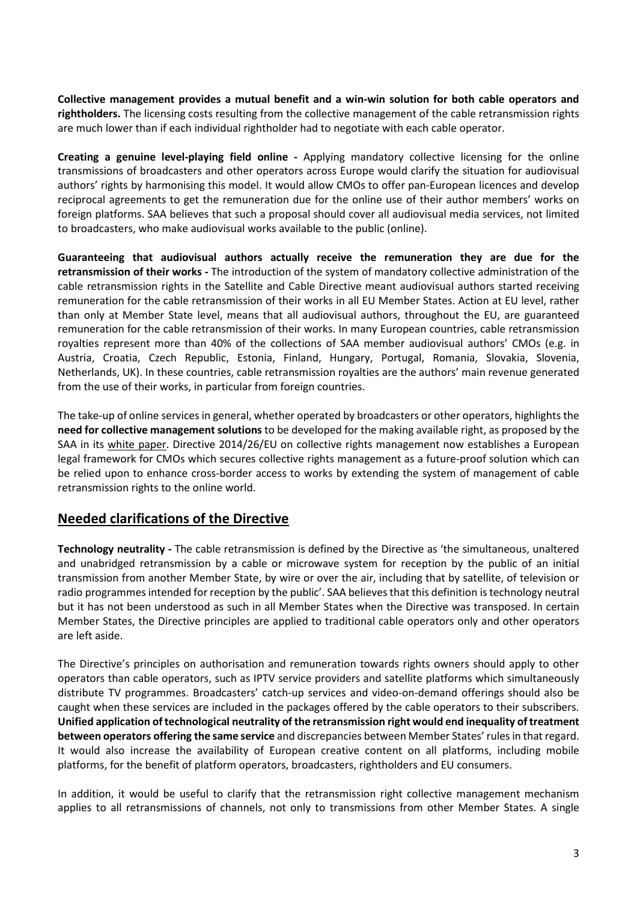**Collective management provides a mutual benefit and a win-win solution for both cable operators and rightholders.** The licensing costs resulting from the collective management of the cable retransmission rights are much lower than if each individual rightholder had to negotiate with each cable operator.

**Creating a genuine level-playing field online -** Applying mandatory collective licensing for the online transmissions of broadcasters and other operators across Europe would clarify the situation for audiovisual authors' rights by harmonising this model. It would allow CMOs to offer pan-European licences and develop reciprocal agreements to get the remuneration due for the online use of their author members' works on foreign platforms. SAA believes that such a proposal should cover all audiovisual media services, not limited to broadcasters, who make audiovisual works available to the public (online).

**Guaranteeing that audiovisual authors actually receive the remuneration they are due for the retransmission of their works -** The introduction of the system of mandatory collective administration of the cable retransmission rights in the Satellite and Cable Directive meant audiovisual authors started receiving remuneration for the cable retransmission of their works in all EU Member States. Action at EU level, rather than only at Member State level, means that all audiovisual authors, throughout the EU, are guaranteed remuneration for the cable retransmission of their works. In many European countries, cable retransmission royalties represent more than 40% of the collections of SAA member audiovisual authors' CMOs (e.g. in Austria, Croatia, Czech Republic, Estonia, Finland, Hungary, Portugal, Romania, Slovakia, Slovenia, Netherlands, UK). In these countries, cable retransmission royalties are the authors' main revenue generated from the use of their works, in particular from foreign countries.

The take-up of online services in general, whether operated by broadcasters or other operators, highlights the **need for collective management solutions** to be developed for the making available right, as proposed by the SAA in its white [paper.](http://www.saa-authors.eu/en/news/168/SAA-White-Paper-download) Directive 2014/26/EU on collective rights management now establishes a European legal framework for CMOs which secures collective rights management as a future-proof solution which can be relied upon to enhance cross-border access to works by extending the system of management of cable retransmission rights to the online world.

### **Needed clarifications of the Directive**

**Technology neutrality -** The cable retransmission is defined by the Directive as 'the simultaneous, unaltered and unabridged retransmission by a cable or microwave system for reception by the public of an initial transmission from another Member State, by wire or over the air, including that by satellite, of television or radio programmes intended for reception by the public'. SAA believes that this definition is technology neutral but it has not been understood as such in all Member States when the Directive was transposed. In certain Member States, the Directive principles are applied to traditional cable operators only and other operators are left aside.

The Directive's principles on authorisation and remuneration towards rights owners should apply to other operators than cable operators, such as IPTV service providers and satellite platforms which simultaneously distribute TV programmes. Broadcasters' catch-up services and video-on-demand offerings should also be caught when these services are included in the packages offered by the cable operators to their subscribers. **Unified application oftechnological neutrality of the retransmission right would end inequality oftreatment between operators offering the same service** and discrepancies between Member States' rulesin that regard. It would also increase the availability of European creative content on all platforms, including mobile platforms, for the benefit of platform operators, broadcasters, rightholders and EU consumers.

In addition, it would be useful to clarify that the retransmission right collective management mechanism applies to all retransmissions of channels, not only to transmissions from other Member States. A single